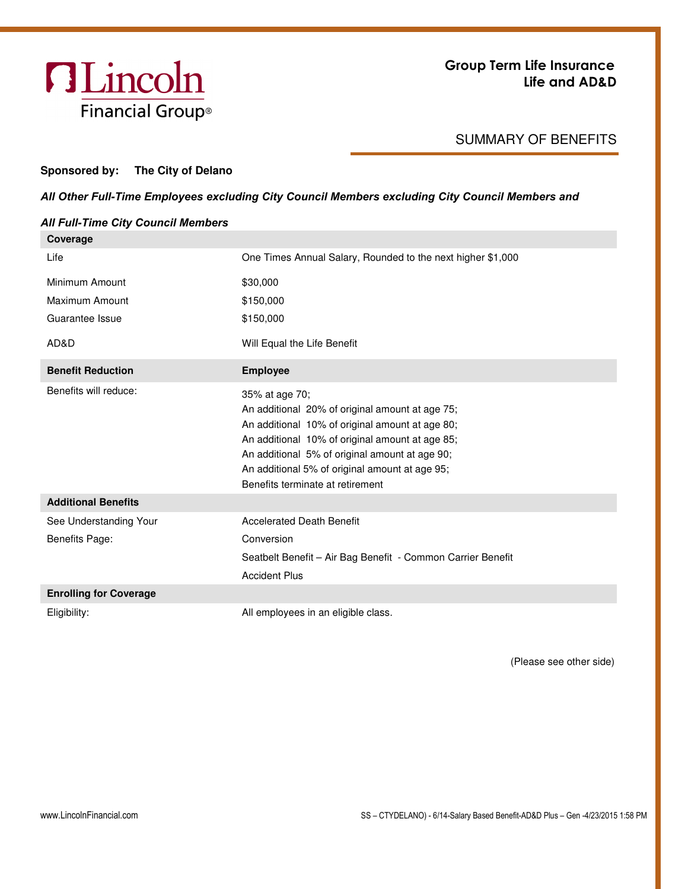

## SUMMARY OF BENEFITS

## **Sponsored by: The City of Delano**

## *All Other Full-Time Employees excluding City Council Members excluding City Council Members and*

| Coverage                                 |                                                                                                                                                                                                                                                                                                                 |  |
|------------------------------------------|-----------------------------------------------------------------------------------------------------------------------------------------------------------------------------------------------------------------------------------------------------------------------------------------------------------------|--|
| Life                                     | One Times Annual Salary, Rounded to the next higher \$1,000                                                                                                                                                                                                                                                     |  |
| Minimum Amount                           | \$30,000                                                                                                                                                                                                                                                                                                        |  |
| Maximum Amount                           | \$150,000                                                                                                                                                                                                                                                                                                       |  |
| Guarantee Issue                          | \$150,000                                                                                                                                                                                                                                                                                                       |  |
| AD&D                                     | Will Equal the Life Benefit                                                                                                                                                                                                                                                                                     |  |
| <b>Benefit Reduction</b>                 | <b>Employee</b>                                                                                                                                                                                                                                                                                                 |  |
| Benefits will reduce:                    | 35% at age 70;<br>An additional 20% of original amount at age 75;<br>An additional 10% of original amount at age 80;<br>An additional 10% of original amount at age 85;<br>An additional 5% of original amount at age 90;<br>An additional 5% of original amount at age 95;<br>Benefits terminate at retirement |  |
| <b>Additional Benefits</b>               |                                                                                                                                                                                                                                                                                                                 |  |
| See Understanding Your<br>Benefits Page: | <b>Accelerated Death Benefit</b><br>Conversion                                                                                                                                                                                                                                                                  |  |
|                                          | Seatbelt Benefit - Air Bag Benefit - Common Carrier Benefit<br><b>Accident Plus</b>                                                                                                                                                                                                                             |  |
|                                          |                                                                                                                                                                                                                                                                                                                 |  |
| <b>Enrolling for Coverage</b>            |                                                                                                                                                                                                                                                                                                                 |  |

(Please see other side)